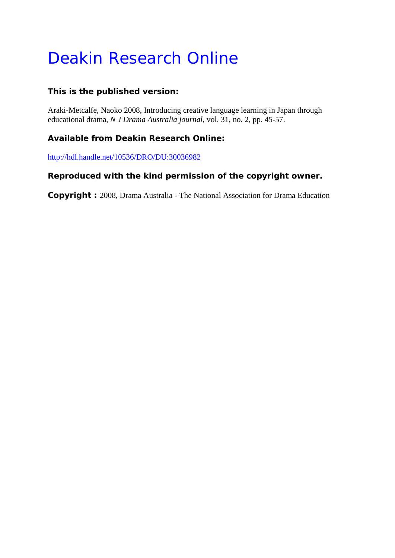# Deakin Research Online

### **This is the published version:**

Araki-Metcalfe, Naoko 2008, Introducing creative language learning in Japan through educational drama*, N J Drama Australia journal*, vol. 31, no. 2, pp. 45-57.

## **Available from Deakin Research Online:**

http://hdl.handle.net/10536/DRO/DU:30036982

### **Reproduced with the kind permission of the copyright owner.**

**Copyright :** 2008, Drama Australia - The National Association for Drama Education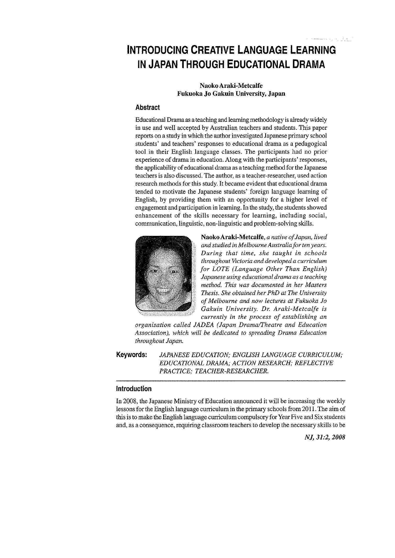## **INTRODUCING CREATIVE LANGUAGE LEARNING IN JAPAN THROUGH EDUCATIONAL DRAMA**

#### **Naoko Araki-Metcalfe Fukuoka Jo Gakuin University, Japan**

#### **Abstract**

Educational Drama as a teaching and learning methodology is already widely in use and well accepted by Australian teachers and students. This paper reports on a study in which the author investigated Japanese primary school students' and teachers' responses to educational drama as a pedagogical tool in their English language classes. The participants had no prior experience of drama in education. Along with the participants' responses, the applicability of educational drama as a teaching method for the Japanese teachers is also discussed. The author, as a teacher-researcher, used action research methods for this study. It became evident that educational drama tended to motivate the Japanese students' foreign language learning of English, by providing them with an opportunity for a higher level of engagement and participation in learning. In the study, the students showed enhancement of the skills necessary for learning, including social, communication, linguistic, non-linguistic and problem-solving skills.



**NaokoAraki-Metcalfe,** *a native of Japan, lived and studied in Melbourne Australia for ten years. During that time, she taught in schools throughout Victoria and developed a curriculum for LOTE (Language Other Than English) Japanese using educational drama as a teaching method. This was documented in her Masters Thesis. She obtained her PhD at The University of Melbourne and now lectures at Fukuoka Jo Gakuin University. Dr. Araki-Metcalfe is currently in the process of establishing an* 

*organisation called JADEA (Japan Drama/Theatre and Education Association), which will be dedicated to spreading Drama Education throughout Japan.* 

**Keywords:**  *JAPANESE EDUCATION; ENGLISH LANGUAGE CURRICULUM; EDUCATIONAL DRAMA; ACTION RESEARCH; REFLECTIVE PRACTICE; TEACHER-RESEARCHER.* 

#### **Introduction**

In 2008, the Japanese Ministry of Education announced it will be increasing the weekly lessons for the English language curriculum in the primary schools from 2011. The aim of this is to make the English language curriculum compulsory for Year Five and Six students and, as a consequence, requiring classroom teachers to develop the necessary skills to be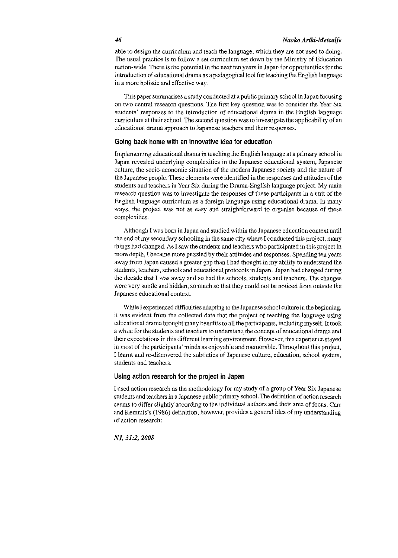#### *46 Naoko Ariki-Metcalfe*

able to design the curriculum and teach the language, which they are not used to doing. The usual practice is to follow a set curriculum set down by the Ministry of Education nation-wide. There is the potential in the next ten years in Japan for opportunities for the introduction of educational drama as a pedagogical tool for teaching the English language **in a more holistic and effective way.** 

This paper summarises a study conducted at a public primary school in Japan focusing on two central research questions. The first key question was to consider the Year Six students' responses to the introduction of educational drama in the English language curriculum at their school. The second question was to investigate the applicability of an educational drama approach to Japanese teachers and their responses.

#### **Going back home with an innovative idea for education**

Implementing educational drama in teaching the English language at a primary school in Japan revealed underlying complexities in the Japanese educational system, Japanese culture, the socio-economic situation of the modern Japanese society and the nature of the Japanese people. These elements were identified in the responses and attitudes of the students and teachers in Year Six during the Drama-English language project. My main research question was to investigate the responses of these participants in a unit of the English language curriculum as a foreign language using educational drama. In many ways, the project was not as easy and straightforward to organise because of these complexities.

Although I was born in Japan and studied within the Japanese education context until the end of my secondary schooling in the same city where I conducted this project, many things had changed. As I saw the students and teachers who participated in this project in more depth, I became more puzzled by their attitudes and responses. Spending ten years away from Japan caused a greater gap than I had thought in my ability to understand the students, teachers, schools and educational protocols in Japan. Japan had changed during the decade that I was away and so had the schools, students and teachers. The changes were very subtle and hidden, so much so that they could not be noticed from outside the Japanese educational context.

While I experienced difficulties adapting to the Japanese school culture in the beginning, it was evident from the collected data that the project of teaching the language using educational drama brought many benefits to all the participants, including myself. It took a while for the students and teachers to understand the concept of educational drama and their expectations in this different learning environment. However, this experience stayed in most of the participants' minds as enjoyable and memorable. Throughout this project, I learnt and re-discovered the subtleties of Japanese culture, education, school system, students and teachers.

#### **Using action research for the project in Japan**

I used action research as the methodology for my study of a group of Year Six Japanese students and teachers in a Japanese public primary school. The definition of action research seems to differ slightly according to the individual authors and their area of focus. Carr and Kemmis's (1986) definition, however, provides a general idea of my understanding **of action research:**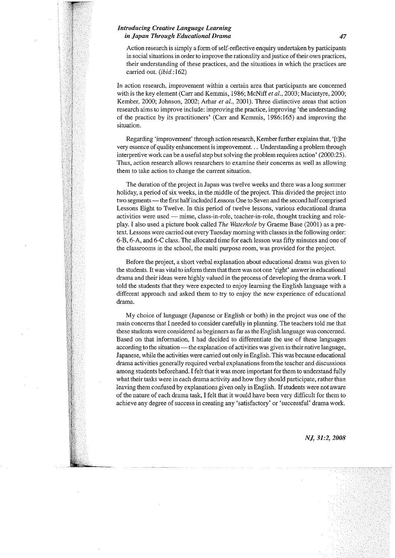#### *Introducing Creative Language Learning in japan Through Educational Drama 47*

Action research is simply a form of self-reflective enquiry undertaken by participants **in social situations in order to improve the rationality and justice of their own practices,**  their understanding of these practices, and the situations in which the practices are carried out. *(ibid.:* 162)

**In action research, improvement within a certain area that participants are concerned**  with is the key element (Carr and Kemmis, 1986; McNiff *et al.,* 2003; Macintyre, 2000; Kember, 2000; Johnson, 2002; Arhar *et al.,* 2001). Three distinctive areas that action research aims to improve include: improving the practice, improving 'the understanding of the practice by its practitioners' (Carr and Kemmis, 1986:165) and improving the **situation.** 

Regarding 'improvement' through action research, Kember further explains that, '[t]he very essence of quality enhancement is improvement. .. Understanding a problem through interpretive work can be a useful step but solving the problem requires action' (2000:25). **Thus, action research allows researchers to examine their concerns as well as allowing**  them to take action to change the current situation.

The duration of the project in Japan was twelve weeks and there was a long summer holiday, a period of six weeks, in the middle of the project. This divided the project into two segments — the first half included Lessons One to Seven and the second half comprised Lessons Eight to Twelve. In this period of twelve lessons, various educational drama activities were used- mime, class-in-role, teacher-in-role, thought tracking and roleplay. I also used a picture book called *The Waterhole* by Graeme Base (2001) as a pretext. Lessons were carried out every Tuesday morning with classes in the following order: 6-B, 6-A, and 6-C class. The allocated time for each lesson was fifty minutes and one of the classrooms in the school, the multi purpose room, was provided for the project.

Before the project, a short verbal explanation about educational drama was given to the students. It was vital to inform them that there was not one 'right' answer in educational drama and their ideas were highly valued in the process of developing the drama work. I told the students that they were expected to enjoy learning the English language with a different approach and asked them to try to enjoy the new experience of educational **drama.** 

My choice of language (Japanese or English or both) in the project was one of the main concerns that I needed to consider carefully in planning. The teachers told me that these students were considered as beginners as far as the English language was concerned. Based on that information, I had decided to differentiate the use of these languages according to the situation — the explanation of activities was given in their native language, Japanese, while the activities were carried out only in English. This was because educational drama activities generally required verbal explanations from the teacher and discussions among students beforehand. I felt that it was more important for them to understand fully what their tasks were in each drama activity and how they should participate, rather than leaving them confused by explanations given only in English. If students were not aware of the nature of each drama task, I felt that it would have been very difficult for them to achieve any degree of success in creating any 'satisfactory' or 'successful' drama work.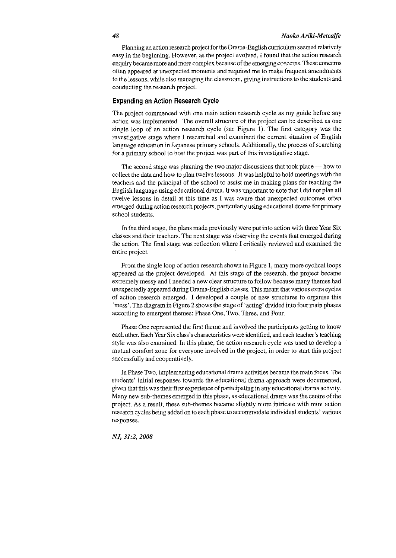Planning an action research project for the Drama-English curriculum seemed relatively easy in the beginning. However, as the project evolved, I found that the action research enquiry became more and more complex because of the emerging concerns. These concerns often appeared at unexpected moments and required me to make frequent amendments to the lessons, while also managing the classroom, giving instructions to the students and conducting the research project.

#### **Expanding an Action Research Cycle**

The project commenced with one main action research cycle as my guide before any action was implemented. The overall structure of the project can be described as one single loop of an action research cycle (see Figure 1). The first category was the investigative stage where I researched and examined the current situation of English language education in Japanese primary schools. Additionally, the process of searching for a primary school to host the project was part of this investigative stage.

The second stage was planning the two major discussions that took place — how to collect the data and how to plan twelve lessons. It was helpful to hold meetings with the teachers and the principal of the school to assist me in making plans for teaching the English language using educational drama. It was important to note that I did not plan all twelve lessons in detail at this time as I was aware that unexpected outcomes often emerged during action research projects, particularly using educational drama for primary school students.

In the third stage, the plans made previously were put into action with three Year Six classes and their teachers. The next stage was observing the events that emerged during the action. The final stage was reflection where I critically reviewed and examined the entire project.

From the single loop of action research shown in Figure I, many more cyclical loops appeared as the project developed. At this stage of the research, the project became extremely messy and I needed a new clear structure to follow because many themes had unexpectedly appeared during Drama-English classes. This meant that various extra cycles of action research emerged. I developed a couple of new structures to organise this 'mess'. The diagram in Figure 2 shows the stage of 'acting' divided into four main phases according to emergent themes: Phase One, Two, Three, and Four.

Phase One represented the first theme and involved the participants getting to know each other. Each Year Six class's characteristics were identified, and each teacher's teaching style was also examined. In this phase, the action research cycle was used to develop a mutual comfort zone for everyone involved in the project, in order to start this project successfully and cooperatively.

In Phase Two, implementing educational drama activities became the main focus. The students' initial responses towards the educational drama approach were documented, given that this was their first experience of participating in any educational drama activity. Many new sub-themes emerged in this phase, as educational drama was the centre of the project. As a result, these sub-themes became slightly more intricate with mini action research cycles being added on to each phase to accommodate individual students' various **responses.**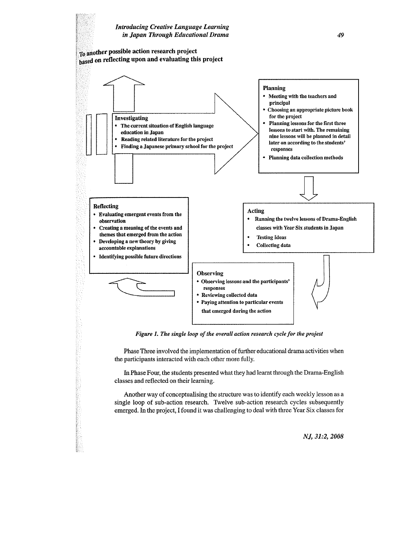

*Figure 1. The single loop of the overall action research cycle for the projest* 

Phase Three involved the implementation of further educational drama activities when the participants interacted with each other more fully.

In Phase Four, the students presented what they had learnt through the Drama-English classes and reflected on their learning.

Another way of conceptualising the structure was to identify each weekly lesson as a single loop of sub-action research. Twelve sub-action research cycles subsequently emerged. In the project, I found it was challenging to deal with three Year Six classes for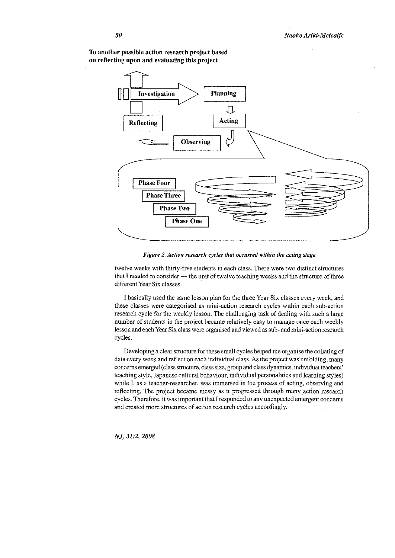

To another possible action research project based on reflecting upon and evaluating this project

*Figure 2. Action research cycles that occurred within the acting stage* 

twelve weeks with thirty-five students in each class. There were two distinct structures that I needed to consider - the unit of twelve teaching weeks and the structure of three different Year Six classes.

I basically used the same lesson plan for the three Year Six classes every week, and these classes were categorised as mini-action research cycles within each sub-action research cycle for the weekly lesson. The challenging task of dealing with such a large number of students in the project became relatively easy to manage once each weekly lesson and each Year Six class were organised and viewed as sub- and mini-action research cycles.

Developing a clear structure for these small cycles helped me organise the collating of data every week and reflect on each individual class. As the project was unfolding, many concerns emerged (class structure, class size, group and class dynamics, individual teachers' teaching style, Japanese cultural behaviour, individual personalities and learning styles) while I, as a teacher-researcher, was immersed in the process of acting, observing and reflecting. The project became messy as it progressed through many action research cycles. Therefore, it was important that I responded to any unexpected emergent concerns and created more structures of action research cycles accordingly.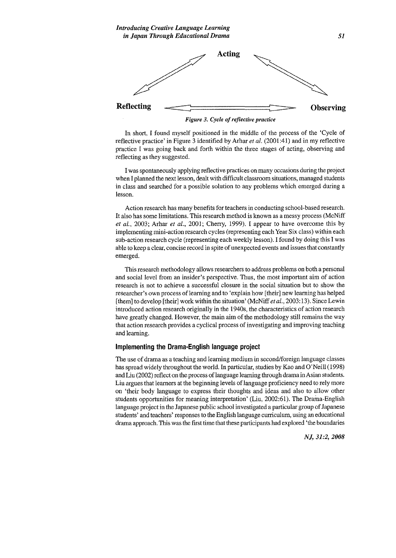*Figure 3. Cycle of reflective practice* 

In short, I found myself positioned in the middle of the process of the 'Cycle of reflective practice' in Figure 3 identified by Arhar *et al.* (2001:41) and in my reflective practice I was going back and forth within the three stages of acting, observing and reflecting as they suggested.

I was spontaneously applying reflective practices on many occasions during the project when I planned the next lesson, dealt with difficult classroom situations, managed students in class and searched for a possible solution to any problems which emerged during a lesson.

Action research has many benefits for teachers in conducting school-based research. It also has some limitations. This research method is known as a messy process (McNiff *et* at., 2003; Arhar *et* al., 2001; Cherry, 1999). I appear to have overcome this by implementing mini-action research cycles (representing each Year Six class) within each sub-action research cycle (representing each weekly lesson). I found by doing this I was able to keep a clear, concise record in spite of unexpected events and issues that constantly emerged.

This research methodology allows researchers to address problems on both a personal and social level from an insider's perspective. Thus, the most important aim of action research is not to achieve a successful closure in the social situation but to show the researcher's own process of learning and to 'explain how [their] new learning has helped (them] to develop [their] work within the situation' (McNiff *eta!.,* 2003: 13). Since Lewin introduced action research originally in the 1940s, the characteristics of action research have greatly changed. However, the main aim of the methodology still remains the way that action research provides a cyclical process of investigating and improving teaching and learning.

#### **Implementing the Drama-English language project**

The use of drama as a teaching and learning medium in second/foreign language classes has spread widely throughout the world. In particular, studies by Kao and O'Neill (1998) and Liu (2002) reflect on the process of language learning through drama in Asian students. Liu argues that learners at the beginning levels of language proficiency need to rely more on 'their body language to express their thoughts and ideas and also to allow other students opportunities for meaning interpretation' (Liu, 2002:61). The Drama-English language project in the Japanese public school investigated a particular group of Japanese students' and teachers' responses to the English language curriculum, using an educational drama approach. This was the first time that these participants had explored 'the boundaries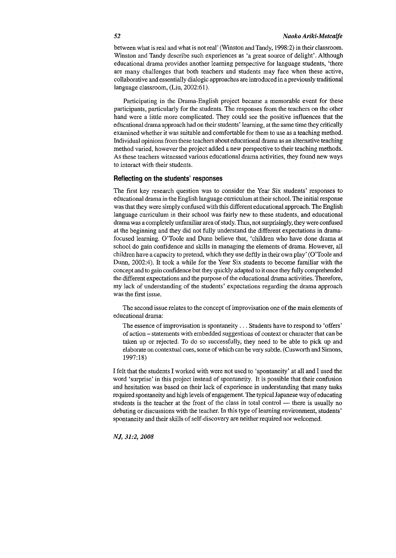between what is real and what is not real' (Winston and Tandy, 1998:2) in their classroom. Winston and Tandy describe such experiences as 'a great source of delight'. Although educational drama provides another learning perspective for language students, 'there are many challenges that both teachers and students may face when these active, collaborative and essentially dialogic approaches are introduced in a previously traditional language classroom, (Liu, 2002:61).

Participating in the Drama-English project became a memorable event for these participants, particularly for the students. The responses from the teachers on the other hand were a little more complicated. They could see the positive influences that the educational drama approach had on their students' learning, at the same time they critically examined whether it was suitable and comfortable for them to use as a teaching method. Individual opinions from these teachers about educational drama as an alternative teaching method varied, however the project added a new perspective to their teaching methods. As these teachers witnessed various educational drama activities, they found new ways to interact with their students.

#### **Reflecting on the students' responses**

The first key research question was to consider the Year Six students' responses to educational drama in the English language curriculum at their school. The initial response was that they were simply confused with this different educational approach. The English language curriculum in their school was fairly new to these students, and educational drama was a completely unfamiliar area of study. Thus, not surprisingly, they were confused at the beginning and they did not fully understand the different expectations in dramafocused learning. O'Toole and Dunn believe that, 'children who have done drama at school do gain confidence and skills in managing the elements of drama. However, all children have a capacity to pretend, which they use deftly in their own play' (O'Toole and Dunn, 2002:4). It took a while for the Year Six students to become familiar with the concept and to gain confidence but they quickly adapted to it once they fully comprehended the different expectations and the purpose of the educational drama activities. Therefore, my lack of understanding of the students' expectations regarding the drama approach was the first issue.

The second issue relates to the concept of improvisation one of the main elements of educational drama:

The essence of improvisation is spontaneity ... Students have to respond to 'offers' of action- statements with embedded suggestions of context or character that can be taken up or rejected. To do so successfully, they need to be able to pick up and elaborate on contextual cues, some of which can be very subtle. (Cusworth and Simons, 1997:18)

I felt that the students I worked with were not used to 'spontaneity' at all and I used the word 'surprise' in this project instead of spontaneity. It is possible that their confusion and hesitation was based on their lack of experience in understanding that many tasks required spontaneity and high levels of engagement. The typical Japanese way of educating students is the teacher at the front of the class in total control - there is usually no debating or discussions with the teacher. In this type of learning environment, students' spontaneity and their skills of self-discovery are neither required nor welcomed.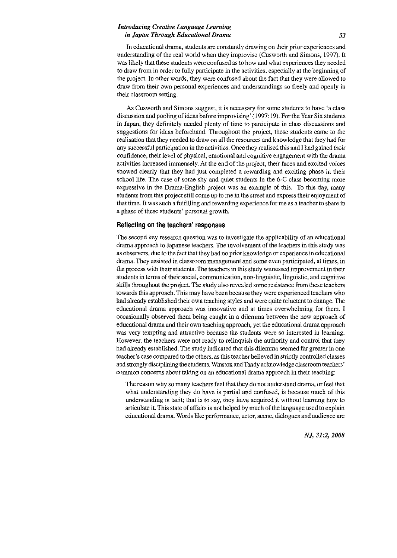#### *Introducing Creative Language Learning in japan Through Educational Drama 53*

In educational drama, students are constantly drawing on their prior experiences and understanding of the real world when they improvise (Cusworth and Simons, 1997). It was likely that these students were confused as to how and what experiences they needed to draw from in order to fully participate in the activities, especially at the beginning of the project. In other words, they were confused about the fact that they were allowed to draw from their own personal experiences and understandings so freely and openly in their classroom setting.

As Cusworth and Simons suggest, it is necessary for some students to have 'a class discussion and pooling of ideas before improvising' (1997: 19). For the Year Six students in Japan, they definitely needed plenty of time to participate in class discussions and suggestions for ideas beforehand. Throughout the project, these students came to the realisation that they needed to draw on all the resources and knowledge that they had for any successful participation in the activities. Once they realised this and I had gained their confidence, their level of physical, emotional and cognitive engagement with the drama activities increased immensely. At the end of the project, their faces and excited voices showed clearly that they had just completed a rewarding and exciting phase in their school life. The case of some shy and quiet students in the 6-C class becoming more expressive in the Drama-English project was an example of this. To this day, many students from this project still come up to me in the street and express their enjoyment of that time. It was such a fulfilling and rewarding experience for me as a teacher to share in a phase of these students' personal growth.

#### **Reflecting on the teachers' responses**

The second key research question was to investigate the applicability of an educational drama approach to Japanese teachers. The involvement of the teachers in this study was as observers, due to the fact that they had no prior knowledge or experience in educational drama. They assisted in classroom management and some even participated, at times, in the process with their students. The teachers in this study witnessed improvement in their students in terms of their social, communication, non-linguistic, linguistic, and cognitive skills throughout the project. The study also revealed some resistance from these teachers towards this approach. This may have been because they were experienced teachers who had already established their own teaching styles and were quite reluctant to change. The educational drama approach was innovative and at times overwhelming for them. I occasionally observed them being caught in a dilemma between the new approach of educational drama and their own teaching approach, yet the educational drama approach was very tempting and attractive because the students were so interested in learning. However, the teachers were not ready to relinquish the authority and control that they had already established. The study indicated that this dilemma seemed far greater in one teacher's case compared to the others, as this teacher believed in strictly controlled classes and strongly disciplining the students. Winston and Tandy acknowledge classroom teachers' common concerns about taking on an educational drama approach in their teaching:

The reason why so many teachers feel that they do not understand drama, or feel that what understanding they do have is partial and confused, is because much of this understanding is tacit; that is to say, they have acquired it without learning how to articulate it. This state of affairs is not helped by much of the language used to explain educational drama. Words like performance, actor, scene, dialogues and audience are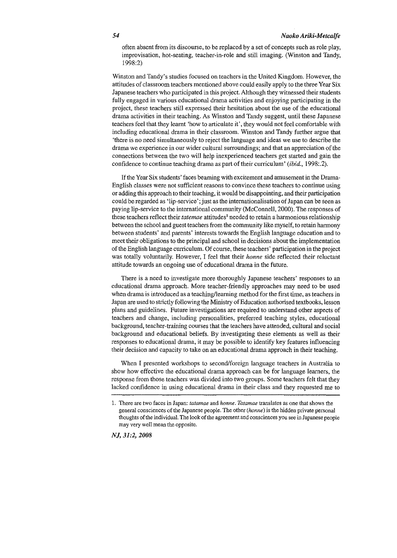often absent from its discourse, to be replaced by a set of concepts such as role play, improvisation, hot-seating, teacher-in-role and still imaging. (Winston and Tandy, 1998:2)

Winston and Tandy's studies focused on teachers in the United Kingdom. However, the attitudes of classroom teachers mentioned above could easily apply to the three Year Six Japanese teachers who participated in this project. Although they witnessed their students fully engaged in various educational drama activities and enjoying participating in the project, these teachers still expressed their hesitation about the use of the educational drama activities in their teaching. As Winston and Tandy suggest, until these Japanese teachers feel that they learnt 'how to atticulate it', they would not feel comfortable with including educational drama in their classroom. Winston and Tandy further argue that 'there is no need simultaneously to reject the language and ideas we use to describe the drama we experience in our wider cultural surroundings; and that an appreciation of the connections between the two will help inexperienced teachers get statted and gain the confidence to continue teaching drama as part of their curriculum' (ibid., 1998:.2).

If the Year Six students' faces beaming with excitement and amusement in the Drama-**English classes were not sufficient reasons to convince these teachers to continue using**  or adding this approach to their teaching, it would be disappointing, and their patticipation could be regarded as 'lip-service'; just as the internationalisation of Japan can be seen as paying lip-service to the international community (McConnell, 2000). The responses of these teachers reflect their *tatemae* attitudes<sup>1</sup> needed to retain a harmonious relationship between the school and guest teachers from the community like myself, to retain harmony between students' and parents' interests towards the English language education and to meet their obligations to the principal and school in decisions about the implementation of the English language curriculum. Of course, these teachers' patticipation in the project was totally voluntarily. However, I feel that their *honne* side reflected their reluctant attitude towards an ongoing use of educational drama in the future.

There is a need to investigate more thoroughly Japanese teachers' responses to an educational drama approach. More teacher-friendly approaches may need to be used when drama is introduced as a teaching/learning method for the first time, as teachers in Japan are used to sttictly following the Ministry of Education authorised textbooks, lesson plans and guidelines. Future investigations are required to understand other aspects of teachers and change, including personalities, preferred teaching styles, educational background, teacher-training courses that the teachers have attended, cultural and social background and educational beliefs. By investigating these elements as well as their responses to educational drama, it may be possible to identify key features influencing their decision and capacity to take on an educational drama approach in their teaching.

When I presented workshops to second/foreign language teachers in Australia to show how effective the educational drama approach can be for language learners, the response from those teachers was divided into two groups. Some teachers felt that they lacked confidence in using educational drama in their class and they requested me to

**<sup>1.</sup> There are two faces in Japan:** *tatamae* **and** *honne. Tatamae* **translates as one that shows the general consciences of the Japanese people. The other** *(honne)* **is the hidden private personal thoughts of the individuaL The look of the agreement and consciences you see in Japanese people may very well mean the opposite.**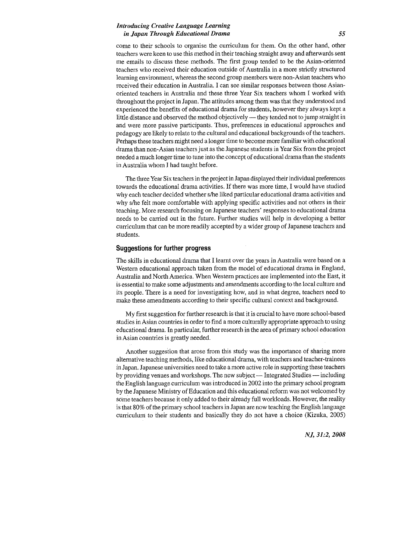#### *Introducing Creative Language Learning in Japan Through Educational Drama 55*

come to their schools to organise the curriculum for them. On the other hand, other teachers were keen to use this method in their teaching straight away and afterwards sent me emails to discuss these methods. The first group tended to be the Asian-oriented teachers who received their education outside of Australia in a more strictly structured **learning environment, whereas the second group members were non-Asian teachers who**  received their education in Australia. I can see similar responses between those Asianoriented teachers in Australia and these three Year Six teachers whom I worked with throughout the project in Japan. The attitudes among them was that they understood and experienced the benefits of educational drama for students, however they always kept a little distance and observed the method objectively  $-$  they tended not to jump straight in and were more passive participants. Thus, preferences in educational approaches and pedagogy are likely to relate to the cultural and educational backgrounds of the teachers. Perhaps these teachers might need a longer time to become more familiar with educational drama than non-Asian teachers just as the Japanese students in Year Six from the project needed a much longer time to tune into the concept of educational drama than the students in Australia whom I had taught before.

The three Year Six teachers in the project in Japan displayed their individual preferences towards the educational drama activities. If there was more time, I would have studied why each teacher decided whether s/he liked particular educational drama activities and why s/he felt more comfortable with applying specific activities and not others in their teaching. More research focusing on Japanese teachers' responses to educational drama needs to be carried out in the future. Further studies will help in developing a better curriculum that can be more readily accepted by a wider group of Japanese teachers and students.

#### **Suggestions for further progress**

The skills in educational drama that I learnt over the years in Australia were based on a Western educational approach taken from the model of educational drama in England, Australia and North America. When Western practices are implemented into the East, it is essential to make some adjustments and amendments according to the local culture and its people. There is a need for investigating how, and in what degree, teachers need to make these amendments according to their specific cultural context and background.

My first suggestion for further research is that it is crucial to have more school-based studies in Asian countries in order to find a more culturally appropriate approach to using educational drama. In particular, further research in the area of primary school education in Asian countries is greatly needed.

Another suggestion that arose from this study was the importance of sharing more altemative teaching methods, like educational drama, with teachers and teacher-trainees in Japan. Japanese universities need to take a more active role in supporting these teachers by providing venues and workshops. The new subject — Integrated Studies — including the English language cuniculum was introduced in 2002 into the primaty school program by the Japanese Ministry of Education and this educational reform was not welcomed by some teachers because it only added to their already full workloads. However, the reality is that80% of the primary school teachers in Japan are now teaching the English language curriculum to their students and basically they do not have a choice (Kizuka, 2005)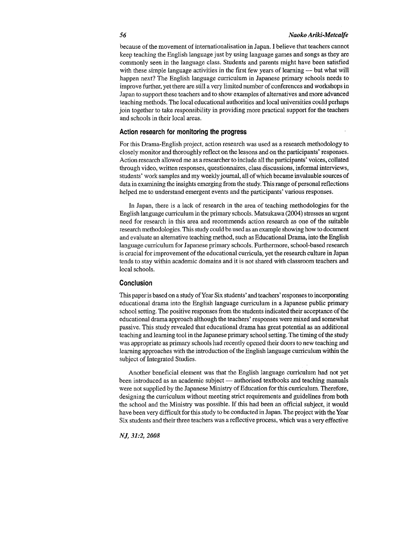because of the movement of internationalisation in Japan. I believe that teachers cannot keep teaching the English language just by using language games and songs as they are commonly seen in the language class. Students and parents might have been satisfied with these simple language activities in the first few years of learning — but what will happen next? The English language curriculum in Japanese primary schools needs to improve further, yet there are still a very limited number of conferences and workshops in Japan to support these teachers and to show examples of alternatives and more advanced teaching methods. The local educational authorities and local universities could perhaps join together to take responsibility in providing more practical support for the teachers and schools in their local areas.

#### **Action research for monitoring the progress**

For this Drama-English project, action research was used as a research methodology to closely monitor and thoroughly reflect on the lessons and on the participants' responses. Action research allowed me as a researcher to include all the participants' voices, collated **through video, written responses, questionnaires, class discussions, informal interviews,**  students' work samples and my weekly journal, all of which became invaluable sources of data in examining the insights emerging from the study. This range of personal reflections helped me to understand emergent events and the participants' various responses.

In Japan, there is a lack of research in the area of teaching methodologies for the English language curriculum in the primary schools. Matsukawa (2004) stresses an urgent need for research in this area and recommends action research as one of the suitable research methodologies. This study could be used as an example showing how to document and evaluate an alternative teaching method, such as Educational Drama, into the English language curriculum for Japanese primary schools. Furthermore, school-based research is crucial for improvement of the educational curricula, yet the research culture in Japan tends to stay within academic domains and it is not shared with classroom teachers and local schools.

#### **Conclusion**

This paper is based on a study of Year Six students' and teachers' responses to incorporating educational drama into the English language curriculum in a Japanese public primary school setting. The positive responses from the students indicated their acceptance of the educational drama approach although the teachers' responses were mixed and somewhat passive. This study revealed that educational drama has great potential as an additional teaching and learning tool in the Japanese primary school setting. The timing of the study was appropriate as primary schools had recently opened their doors to new teaching and learning approaches with the introduction of the English language curriculum within the subject of Integrated Studies.

Another beneficial element was that the English language curriculum had not yet been introduced as an academic subject - authorised textbooks and teaching manuals were not supplied by the Japanese Ministry of Education for this curriculum. Therefore, designing the curriculum without meeting strict requirements and guidelines from both the school and the Ministry was possible. If this had been an official subject, it would have been very difficult for this study to be conducted in Japan. The project with the Year Six students and their three teachers was a reflective process, which was a very effective